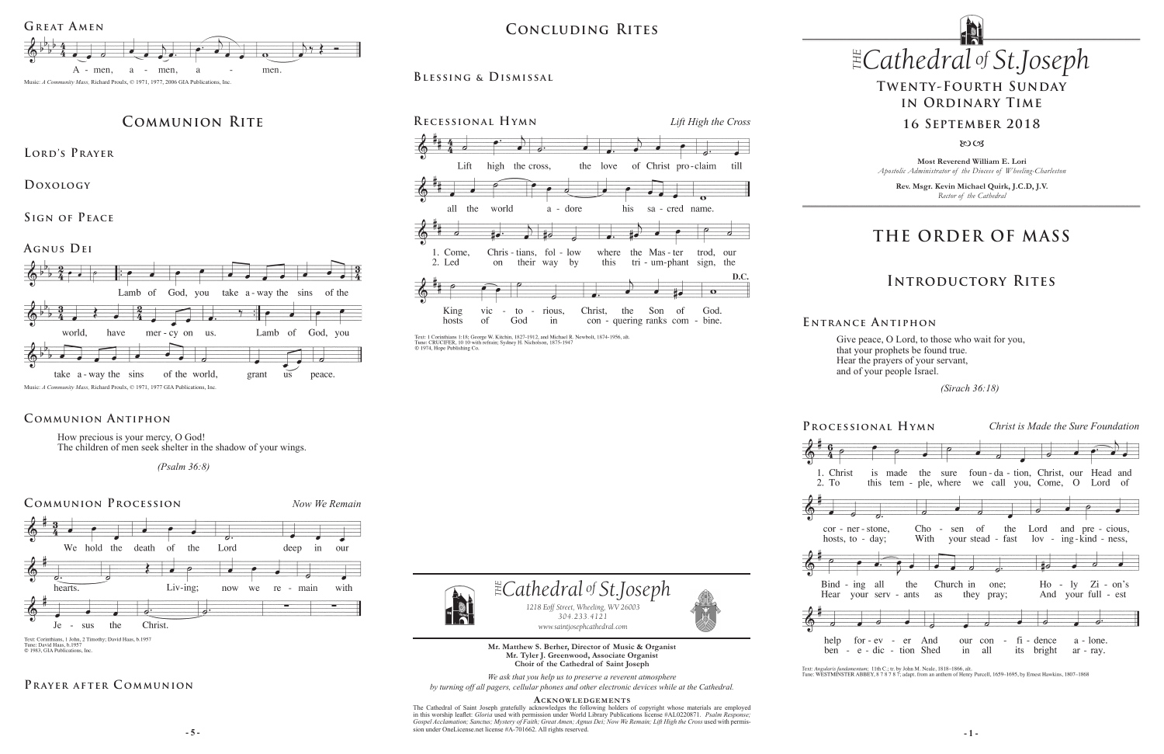**Mr. Matthew S. Berher, Director of Music & Organist Mr. Tyler J. Greenwood, Associate Organist Choir of the Cathedral of Saint Joseph**

*We ask that you help us to preserve a reverent atmosphere by turning off all pagers, cellular phones and other electronic devices while at the Cathedral.*

 $\frac{1}{2}$  - 5 -The Cathedral of Saint Joseph gratefully acknowledges the following holders of copyright whose materials are employed in this worship leaflet: *Gloria* used with permission under World Library Publications license #AL0220871. Psalm Response;<br>Gospel Acclamation; Sanctus; Mystery of Faith; Great Amen; Agnus Dei; Now We Remain; Lift High the sion under OneLicense.net license #A-701662. All rights reserved.







Text: Corinthians, 1 John, 2 Timothy; David Haas, b.1957 Tune: David Haas, b.1957<br>
© 1983, GIA Publications, Inc.

### PRAYER AFTER COMMUNION

#### **Acknowledgement s**



## $CONCLUDING RITES$  *Cathedral St THE of .Joseph* **Concluding Rites**

# **THE ORDER OF MASS**

## **Introductory Rites**

How precious is your mercy, O God! The children of men seek shelter in the shadow of your wings.

 *(Psalm 36:8)* 

### **Communion Antiphon**

### **Blessing & Dismissal**



Text: 1 Corinthians 1:18; George W. Kitchin, 1827-1912, and Michael R. Newbolt, 1874-1956, alt. Tune: CRUCIFER, 10 10 with refrain; Sydney H. Nicholson, 1875-1947<br>© 1974, Hope Publishing Co.

**Most Reverend William E. Lori** *Apostolic Administrator of the Diocese of Wheeling-Charleston*

**Rev. Msgr. Kevin Michael Quirk, J.C.D, J.V.** *Rector of the Cathedral*

## **Twenty-Fourth Sunday in Ordinary Time**

### **16 September 2018**

 $80C<sub>3</sub>$ 



**Lord's Prayer**

**Doxology** 

**Sign of Peace** 

**Agnus Dei** 





Give peace, O Lord, to those who wait for you, that your prophets be found true. Hear the prayers of your servant, and of your people Israel.

 *(Sirach 36:18)* 

**E ntrance A ntiphon**

Text: Angularis fundamentum; 11th C.; tr. by John M. Neale, 1818-1866, alt.<br>Tune: WESTMINSTER ABBEY, 8 7 8 7 8 7; adapt. from an anthem of Henry Purcell, 1659-1695, by Ernest Hawkins, 1807-1868